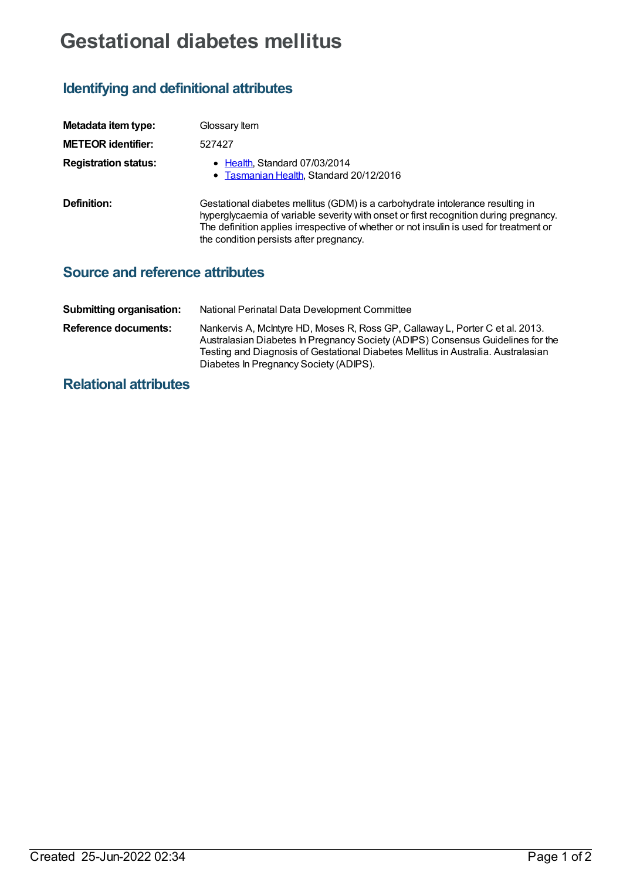## **Gestational diabetes mellitus**

## **Identifying and definitional attributes**

| Metadata item type:         | Glossary Item                                                                                                                                                                                                                                                                                                |
|-----------------------------|--------------------------------------------------------------------------------------------------------------------------------------------------------------------------------------------------------------------------------------------------------------------------------------------------------------|
| <b>METEOR identifier:</b>   | 527427                                                                                                                                                                                                                                                                                                       |
| <b>Registration status:</b> | • Health, Standard 07/03/2014<br>• Tasmanian Health, Standard 20/12/2016                                                                                                                                                                                                                                     |
| Definition:                 | Gestational diabetes mellitus (GDM) is a carbohydrate intolerance resulting in<br>hyperglycaemia of variable severity with onset or first recognition during pregnancy.<br>The definition applies irrespective of whether or not insulin is used for treatment or<br>the condition persists after pregnancy. |

## **Source and reference attributes**

| <b>Submitting organisation:</b> | National Perinatal Data Development Committee                                                                                                                                                                                                                                                   |
|---------------------------------|-------------------------------------------------------------------------------------------------------------------------------------------------------------------------------------------------------------------------------------------------------------------------------------------------|
| Reference documents:            | Nankervis A, McIntyre HD, Moses R, Ross GP, Callaway L, Porter C et al. 2013.<br>Australasian Diabetes In Pregnancy Society (ADIPS) Consensus Guidelines for the<br>Testing and Diagnosis of Gestational Diabetes Mellitus in Australia. Australasian<br>Diabetes In Pregnancy Society (ADIPS). |

## **Relational attributes**